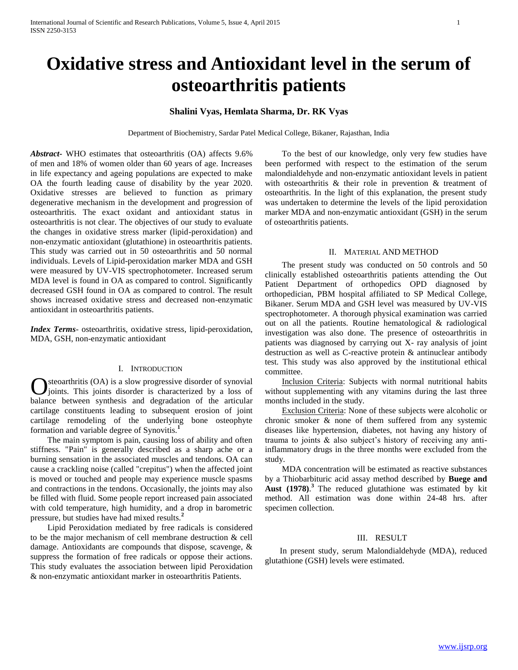# **Oxidative stress and Antioxidant level in the serum of osteoarthritis patients**

# **Shalini Vyas, Hemlata Sharma, Dr. RK Vyas**

Department of Biochemistry, Sardar Patel Medical College, Bikaner, Rajasthan, India

*Abstract***-** WHO estimates that osteoarthritis (OA) affects 9.6% of men and 18% of women older than 60 years of age. Increases in life expectancy and ageing populations are expected to make OA the fourth leading cause of disability by the year 2020. Oxidative stresses are believed to function as primary degenerative mechanism in the development and progression of osteoarthritis. The exact oxidant and antioxidant status in osteoarthritis is not clear. The objectives of our study to evaluate the changes in oxidative stress marker (lipid-peroxidation) and non-enzymatic antioxidant (glutathione) in osteoarthritis patients. This study was carried out in 50 osteoarthritis and 50 normal individuals. Levels of Lipid-peroxidation marker MDA and GSH were measured by UV-VIS spectrophotometer. Increased serum MDA level is found in OA as compared to control. Significantly decreased GSH found in OA as compared to control. The result shows increased oxidative stress and decreased non-enzymatic antioxidant in osteoarthritis patients.

*Index Terms*- osteoarthritis, oxidative stress, lipid-peroxidation, MDA, GSH, non-enzymatic antioxidant

## I. INTRODUCTION

steoarthritis (OA) is a slow progressive disorder of synovial joints. This joints disorder is characterized by a loss of **C** steoarthritis (OA) is a slow progressive disorder of synovial joints. This joints disorder is characterized by a loss of balance between synthesis and degradation of the articular cartilage constituents leading to subsequent erosion of joint cartilage remodeling of the underlying bone osteophyte formation and variable degree of Synovitis.**<sup>1</sup>**

 The main symptom is pain, causing loss of ability and often stiffness. "Pain" is generally described as a sharp ache or a burning sensation in the associated muscles and tendons. OA can cause a crackling noise (called "crepitus") when the affected joint is moved or touched and people may experience muscle spasms and contractions in the tendons. Occasionally, the joints may also be filled with fluid. Some people report increased pain associated with cold temperature, high humidity, and a drop in barometric pressure, but studies have had mixed results.**<sup>2</sup>**

 Lipid Peroxidation mediated by free radicals is considered to be the major mechanism of cell membrane destruction & cell damage. Antioxidants are compounds that dispose, scavenge, & suppress the formation of free radicals or oppose their actions. This study evaluates the association between lipid Peroxidation & non-enzymatic antioxidant marker in osteoarthritis Patients.

 To the best of our knowledge, only very few studies have been performed with respect to the estimation of the serum malondialdehyde and non-enzymatic antioxidant levels in patient with osteoarthritis & their role in prevention & treatment of osteoarthritis. In the light of this explanation, the present study was undertaken to determine the levels of the lipid peroxidation marker MDA and non-enzymatic antioxidant (GSH) in the serum of osteoarthritis patients.

## II. MATERIAL AND METHOD

 The present study was conducted on 50 controls and 50 clinically established osteoarthritis patients attending the Out Patient Department of orthopedics OPD diagnosed by orthopedician, PBM hospital affiliated to SP Medical College, Bikaner. Serum MDA and GSH level was measured by UV-VIS spectrophotometer. A thorough physical examination was carried out on all the patients. Routine hematological & radiological investigation was also done. The presence of osteoarthritis in patients was diagnosed by carrying out X- ray analysis of joint destruction as well as C-reactive protein & antinuclear antibody test. This study was also approved by the institutional ethical committee.

 Inclusion Criteria: Subjects with normal nutritional habits without supplementing with any vitamins during the last three months included in the study.

 Exclusion Criteria: None of these subjects were alcoholic or chronic smoker & none of them suffered from any systemic diseases like hypertension, diabetes, not having any history of trauma to joints & also subject's history of receiving any antiinflammatory drugs in the three months were excluded from the study.

 MDA concentration will be estimated as reactive substances by a Thiobarbituric acid assay method described by **Buege and Aust (1978)**. **<sup>3</sup>**The reduced glutathione was estimated by kit method. All estimation was done within 24-48 hrs. after specimen collection.

#### III. RESULT

 In present study, serum Malondialdehyde (MDA), reduced glutathione (GSH) levels were estimated.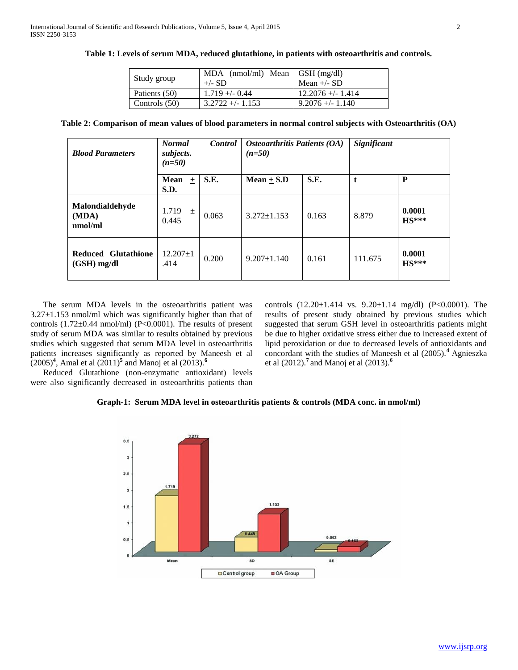| Study group     | MDA $(nmol/ml)$ Mean GSH $(mg/dl)$<br>$+/- SD$ | Mean $+/-$ SD       |
|-----------------|------------------------------------------------|---------------------|
| Patients (50)   | $1.719 + -0.44$                                | $12.2076 + - 1.414$ |
| Controls $(50)$ | $3.2722 + (-1.153)$                            | $9.2076 + (-1.140)$ |

**Table 1: Levels of serum MDA, reduced glutathione, in patients with osteoarthritis and controls.**

|  |  | Table 2: Comparison of mean values of blood parameters in normal control subjects with Osteoarthritis (OA) |  |  |  |  |
|--|--|------------------------------------------------------------------------------------------------------------|--|--|--|--|
|  |  |                                                                                                            |  |  |  |  |

| <b>Blood Parameters</b>              | <b>Normal</b><br><b>Control</b><br>subjects.<br>$(n=50)$ |       | Osteoarthritis Patients (OA)<br>$(n=50)$ |       | Significant |                   |  |
|--------------------------------------|----------------------------------------------------------|-------|------------------------------------------|-------|-------------|-------------------|--|
|                                      | Mean<br>$\ddot{}$<br>S.D.                                | S.E.  | Mean $+$ S.D                             | S.E.  | t           | P                 |  |
| Malondialdehyde<br>(MDA)<br>nmol/ml  | 1.719<br>$\pm$<br>0.445                                  | 0.063 | $3.272 \pm 1.153$                        | 0.163 | 8.879       | 0.0001<br>$HS***$ |  |
| Reduced Glutathione<br>$(GSH)$ mg/dl | $12.207 \pm 1$<br>.414                                   | 0.200 | $9.207 \pm 1.140$                        | 0.161 | 111.675     | 0.0001<br>$HS***$ |  |

 The serum MDA levels in the osteoarthritis patient was  $3.27\pm1.153$  nmol/ml which was significantly higher than that of controls  $(1.72\pm0.44 \text{ nmol/ml})$  (P<0.0001). The results of present study of serum MDA was similar to results obtained by previous studies which suggested that serum MDA level in osteoarthritis patients increases significantly as reported by Maneesh et al (2005)**<sup>4</sup>** , Amal et al (2011)**<sup>5</sup>** and Manoj et al (2013).**<sup>6</sup>**

 Reduced Glutathione (non-enzymatic antioxidant) levels were also significantly decreased in osteoarthritis patients than controls (12.20±1.414 vs. 9.20±1.14 mg/dl) (P<0.0001). The results of present study obtained by previous studies which suggested that serum GSH level in osteoarthritis patients might be due to higher oxidative stress either due to increased extent of lipid peroxidation or due to decreased levels of antioxidants and concordant with the studies of Maneesh et al (2005).**<sup>4</sup>** Agnieszka et al (2012).**<sup>7</sup>**and Manoj et al (2013).**<sup>6</sup>**

# **Graph-1: Serum MDA level in osteoarthritis patients & controls (MDA conc. in nmol/ml)**

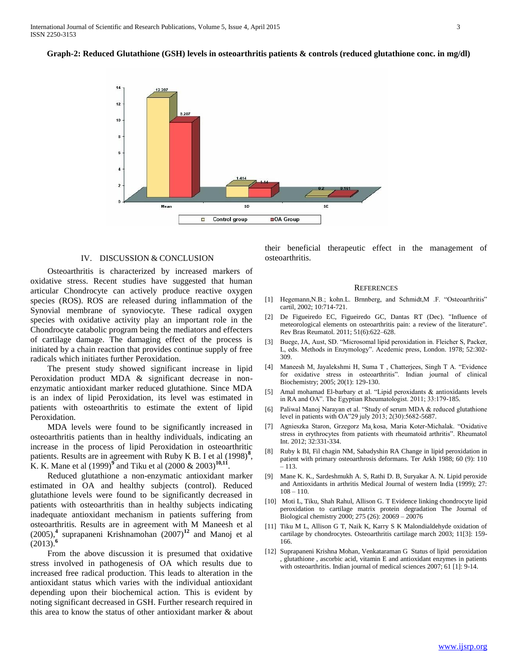**Graph-2: Reduced Glutathione (GSH) levels in osteoarthritis patients & controls (reduced glutathione conc. in mg/dl)**



#### IV. DISCUSSION & CONCLUSION

 Osteoarthritis is characterized by increased markers of oxidative stress. Recent studies have suggested that human articular Chondrocyte can actively produce reactive oxygen species (ROS). ROS are released during inflammation of the Synovial membrane of synoviocyte. These radical oxygen species with oxidative activity play an important role in the Chondrocyte catabolic program being the mediators and effecters of cartilage damage. The damaging effect of the process is initiated by a chain reaction that provides continue supply of free radicals which initiates further Peroxidation.

 The present study showed significant increase in lipid Peroxidation product MDA & significant decrease in nonenzymatic antioxidant marker reduced glutathione. Since MDA is an index of lipid Peroxidation, its level was estimated in patients with osteoarthritis to estimate the extent of lipid Peroxidation.

 MDA levels were found to be significantly increased in osteoarthritis patients than in healthy individuals, indicating an increase in the process of lipid Peroxidation in osteoarthritic patients. Results are in agreement with Ruby K B. I et al (1998)<sup>8</sup>, K. K. Mane et al (1999)<sup>9</sup> and Tiku et al (2000 & 2003)<sup>10,11</sup>.

 Reduced glutathione a non-enzymatic antioxidant marker estimated in OA and healthy subjects (control). Reduced glutathione levels were found to be significantly decreased in patients with osteoarthritis than in healthy subjects indicating inadequate antioxidant mechanism in patients suffering from osteoarthritis. Results are in agreement with M Maneesh et al (2005),**<sup>4</sup>** suprapaneni Krishnamohan (2007)**<sup>12</sup>** and Manoj et al  $(2013).$ <sup>6</sup>

 From the above discussion it is presumed that oxidative stress involved in pathogenesis of OA which results due to increased free radical production. This leads to alteration in the antioxidant status which varies with the individual antioxidant depending upon their biochemical action. This is evident by noting significant decreased in GSH. Further research required in this area to know the status of other antioxidant marker & about their beneficial therapeutic effect in the management of osteoarthritis.

#### **REFERENCES**

- [1] Hegemann, N.B.; kohn. L. Brnnberg, and Schmidt, M. F. "Osteoarthritis" cartil, 2002; 10:714-721.
- [2] De Figueiredo EC, Figueiredo GC, Dantas RT (Dec). "Influence of meteorological elements on osteoarthritis pain: a review of the literature". Rev Bras Reumatol. 2011; 51(6):622–628.
- [3] Buege, JA, Aust, SD. "Microsomal lipid peroxidation in. Fleicher S, Packer, L, eds. Methods in Enzymology". Acedemic press, London. 1978; 52:302- 309.
- [4] Maneesh M, Jayalekshmi H, Suma T , Chatterjees, Singh T A. "Evidence for oxidative stress in osteoarthritis". Indian journal of clinical Biochemistry; 2005; 20(1): 129-130.
- [5] Amal mohamad El-barbary et al. "Lipid peroxidants & antioxidants levels in RA and OA". The Egyptian Rheumatologist. 2011; 33:179-185.
- [6] Paliwal Manoj Narayan et al. "Study of serum MDA & reduced glutathione level in patients with OA"29 july 2013; 2(30):5682-5687.
- [7] Agnieszka Staron, Grzegorz Ma˛kosa, Maria Koter-Michalak. "Oxidative stress in erythrocytes from patients with rheumatoid arthritis". Rheumatol Int. 2012; 32:331-334.
- [8] Ruby k BI, Fil chagin NM, Sabadyshin RA Change in lipid peroxidation in patient with primary osteoarthrosis deformans. Ter Arkh 1988; 60 (9): 110 – 113.
- [9] Mane K. K., Sardeshmukh A. S, Rathi D. B, Suryakar A. N. Lipid peroxide and Antioxidants in arthritis Medical Journal of western India (1999); 27:  $108 - 110$
- [10] Moti L, Tiku, Shah Rahul, Allison G. T Evidence linking chondrocyte lipid peroxidation to cartilage matrix protein degradation The Journal of Biological chemistry 2000; 275 (26): 20069 – 20076
- [11] Tiku M L, Allison G T, Naik K, Karry S K Malondialdehyde oxidation of cartilage by chondrocytes. Osteoarthritis cartilage march 2003; 11[3]: 159- 166.
- [12] Suprapaneni Krishna Mohan, Venkataraman G Status of lipid peroxidation , glutathione , ascorbic acid, vitamin E and antioxidant enzymes in patients with osteoarthritis. Indian journal of medical sciences 2007; 61 [1]: 9-14.